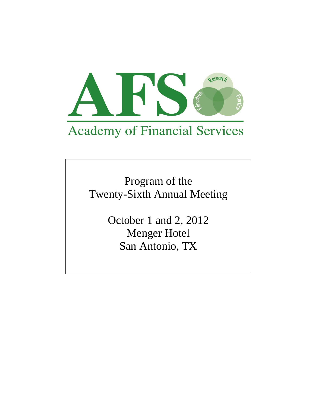

Program of the Twenty-Sixth Annual Meeting

> October 1 and 2, 2012 Menger Hotel San Antonio, TX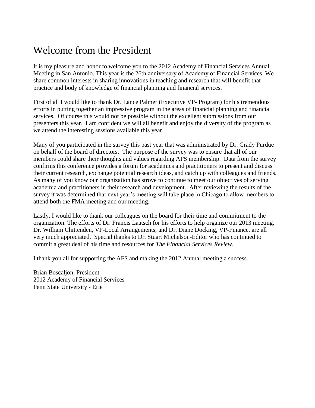### Welcome from the President

It is my pleasure and honor to welcome you to the 2012 Academy of Financial Services Annual Meeting in San Antonio. This year is the 26th anniversary of Academy of Financial Services. We share common interests in sharing innovations in teaching and research that will benefit that practice and body of knowledge of financial planning and financial services.

First of all I would like to thank Dr. Lance Palmer (Executive VP- Program) for his tremendous efforts in putting together an impressive program in the areas of financial planning and financial services. Of course this would not be possible without the excellent submissions from our presenters this year. I am confident we will all benefit and enjoy the diversity of the program as we attend the interesting sessions available this year.

Many of you participated in the survey this past year that was administrated by Dr. Grady Purdue on behalf of the board of directors. The purpose of the survey was to ensure that all of our members could share their thoughts and values regarding AFS membership. Data from the survey confirms this conference provides a forum for academics and practitioners to present and discuss their current research, exchange potential research ideas, and catch up with colleagues and friends. As many of you know our organization has strove to continue to meet our objectives of serving academia and practitioners in their research and development. After reviewing the results of the survey it was determined that next year's meeting will take place in Chicago to allow members to attend both the FMA meeting and our meeting.

Lastly, I would like to thank our colleagues on the board for their time and commitment to the organization. The efforts of Dr. Francis Laatsch for his efforts to help organize our 2013 meeting, Dr. William Chittenden, VP-Local Arrangements, and Dr. Diane Docking, VP-Finance, are all very much appreciated. Special thanks to Dr. Stuart Michelson-Editor who has continued to commit a great deal of his time and resources for *The Financial Services Review*.

I thank you all for supporting the AFS and making the 2012 Annual meeting a success.

Brian Boscaljon, President 2012 Academy of Financial Services Penn State University - Erie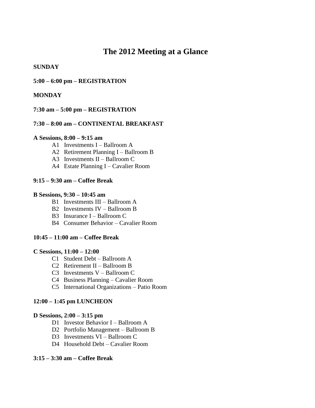### **The 2012 Meeting at a Glance**

### **SUNDAY**

### **5:00 – 6:00 pm – REGISTRATION**

#### **MONDAY**

### **7:30 am – 5:00 pm – REGISTRATION**

### **7:30 – 8:00 am – CONTINENTAL BREAKFAST**

#### **A Sessions, 8:00 – 9:15 am**

- A1 Investments I Ballroom A
- A2 Retirement Planning I Ballroom B
- A3 Investments II Ballroom C
- A4 Estate Planning I Cavalier Room

### **9:15 – 9:30 am – Coffee Break**

#### **B Sessions, 9:30 – 10:45 am**

- B1 Investments III Ballroom A
- B2 Investments IV Ballroom B
- B3 Insurance I Ballroom C
- B4 Consumer Behavior Cavalier Room

#### **10:45 – 11:00 am – Coffee Break**

#### **C Sessions, 11:00 – 12:00**

- C1 Student Debt Ballroom A
- C2 Retirement II Ballroom B
- C3 Investments V Ballroom C
- C4 Business Planning Cavalier Room
- C5 International Organizations Patio Room

#### **12:00 – 1:45 pm LUNCHEON**

#### **D Sessions, 2:00 – 3:15 pm**

- D1 Investor Behavior I Ballroom A
- D2 Portfolio Management Ballroom B
- D3 Investments VI Ballroom C
- D4 Household Debt Cavalier Room

#### **3:15 – 3:30 am – Coffee Break**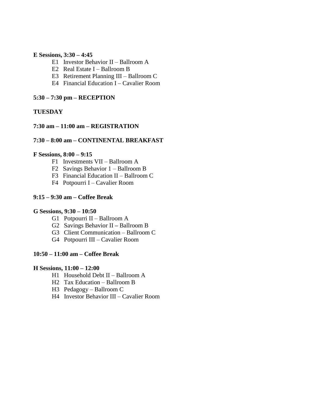#### **E Sessions, 3:30 – 4:45**

- E1 Investor Behavior II Ballroom A
- E2 Real Estate I Ballroom B
- E3 Retirement Planning III Ballroom C
- E4 Financial Education I Cavalier Room

#### **5:30 – 7:30 pm – RECEPTION**

### **TUESDAY**

### **7:30 am – 11:00 am – REGISTRATION**

### **7:30 – 8:00 am – CONTINENTAL BREAKFAST**

#### **F Sessions, 8:00 – 9:15**

- F1 Investments VII Ballroom A
- F2 Savings Behavior 1 Ballroom B
- F3 Financial Education II Ballroom C
- F4 Potpourri I Cavalier Room

#### **9:15 – 9:30 am – Coffee Break**

#### **G Sessions, 9:30 – 10:50**

- G1 Potpourri II Ballroom A
- G2 Savings Behavior II **–** Ballroom B
- G3 Client Communication Ballroom C
- G4 Potpourri III Cavalier Room

#### **10:50 – 11:00 am – Coffee Break**

#### **H Sessions, 11:00 – 12:00**

- H1 Household Debt II Ballroom A
- H2 Tax Education Ballroom B
- H3 Pedagogy Ballroom C
- H4 Investor Behavior III Cavalier Room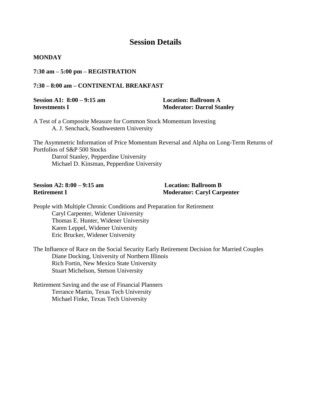### **Session Details**

#### **MONDAY**

### **7:30 am – 5:00 pm – REGISTRATION**

#### **7:30 – 8:00 am – CONTINENTAL BREAKFAST**

| Session A1: $8:00 - 9:15$ am | <b>Location: Ballroom A</b>      |
|------------------------------|----------------------------------|
| <b>Investments I</b>         | <b>Moderator: Darrol Stanley</b> |

A Test of a Composite Measure for Common Stock Momentum Investing A. J. Senchack, Southwestern University

The Asymmetric Information of Price Momentum Reversal and Alpha on Long-Term Returns of Portfolios of S&P 500 Stocks Darrol Stanley, Pepperdine University

Michael D. Kinsman, Pepperdine University

## **Session A2: 8:00 – 9:15 am Location: Ballroom B**

## **Retirement I Moderator: Caryl Carpenter**

People with Multiple Chronic Conditions and Preparation for Retirement Caryl Carpenter, Widener University Thomas E. Hunter, Widener University Karen Leppel, Widener University Eric Brucker, Widener University

The Influence of Race on the Social Security Early Retirement Decision for Married Couples Diane Docking, University of Northern Illinois Rich Fortin, New Mexico State University Stuart Michelson, Stetson University

Retirement Saving and the use of Financial Planners Terrance Martin, Texas Tech University Michael Finke, Texas Tech University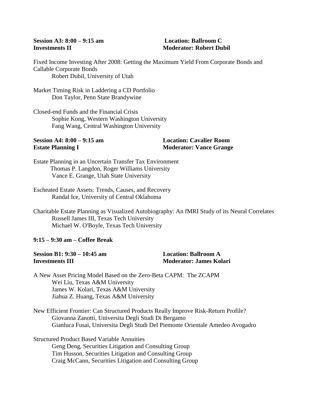#### **Session A3: 8:00 – 9:15 am Location: Ballroom C Investments II Moderator: Robert Dubil**

Fixed Income Investing After 2008: Getting the Maximum Yield From Corporate Bonds and Callable Corporate Bonds Robert Dubil, University of Utah

Market Timing Risk in Laddering a CD Portfolio Don Taylor, Penn State Brandywine

Closed-end Funds and the Financial Crisis Sophie Kong, Western Washington University Fang Wang, Central Washington University

### **Session A4: 8:00 – 9:15 am Location: Cavalier Room Estate Planning I Moderator: Vance Grange**

- Estate Planning in an Uncertain Transfer Tax Environment Thomas P. Langdon, Roger Williams University Vance E. Grange, Utah State University
- Escheated Estate Assets: Trends, Causes, and Recovery Randal Ice, University of Central Oklahoma

Charitable Estate Planning as Visualized Autobiography: An fMRI Study of its Neural Correlates Russell James III, Texas Tech University Michael W. O'Boyle, Texas Tech University

#### **9:15 – 9:30 am – Coffee Break**

| Session B1: 9:30 – 10:45 am | <b>Location: Ballroom A</b>    |
|-----------------------------|--------------------------------|
| <b>Investments III</b>      | <b>Moderator: James Kolari</b> |

A New Asset Pricing Model Based on the Zero-Beta CAPM: The ZCAPM Wei Liu, Texas A&M University James W. Kolari, Texas A&M University Jiahua Z. Huang, Texas A&M University

New Efficient Frontier: Can Structured Products Really Improve Risk-Return Profile? Giovanna Zanotti, Universita Degli Studi Di Bergamo Gianluca Fusai, Universita Degli Studi Del Piemonte Orientale Amedeo Avogadro

Structured Product Based Variable Annuities Geng Deng, Securities Litigation and Consulting Group Tim Husson, Securities Litigation and Consulting Group Craig McCann, Securities Litigation and Consulting Group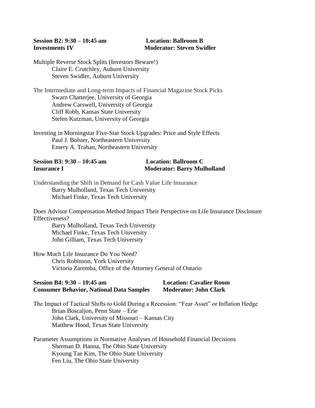# **Session B2: 9:30 – 10:45 am Location: Ballroom B**<br> **Investments IV Moderator: Steven Swi**

# **Moderator: Steven Swidler**

| Multiple Reverse Stock Splits (Investors Beware!)<br>Claire E. Crutchley, Auburn University<br>Steven Swidler, Auburn University                                                                                                              |                                                                                           |
|-----------------------------------------------------------------------------------------------------------------------------------------------------------------------------------------------------------------------------------------------|-------------------------------------------------------------------------------------------|
| The Intermediate and Long-term Impacts of Financial Magazine Stock Picks<br>Swarn Chatterjee, University of Georgia<br>Andrew Carswell, University of Georgia<br>Cliff Robb, Kansas State University<br>Stefen Kutzman, University of Georgia |                                                                                           |
| Investing in Morningstar Five-Star Stock Upgrades: Price and Style Effects<br>Paul J. Bolster, Northeastern University<br>Emery A. Trahan, Northeastern University                                                                            |                                                                                           |
| Session B3: 9:30 - 10:45 am<br><b>Insurance I</b>                                                                                                                                                                                             | <b>Location: Ballroom C</b><br><b>Moderator: Barry Mulholland</b>                         |
| Understanding the Shift in Demand for Cash Value Life Insurance<br>Barry Mulholland, Texas Tech University<br>Michael Finke, Texas Tech University                                                                                            |                                                                                           |
| Effectiveness?<br>Barry Mulholland, Texas Tech University<br>Michael Finke, Texas Tech University<br>John Gilliam, Texas Tech University                                                                                                      | Does Advisor Compensation Method Impact Their Perspective on Life Insurance Disclosure    |
| How Much Life Insurance Do You Need?<br>Chris Robinson, York University<br>Victoria Zaremba, Office of the Attorney General of Ontario                                                                                                        |                                                                                           |
| Session B4: 9:30 – 10:45 am<br><b>Consumer Behavior, National Data Samples</b>                                                                                                                                                                | <b>Location: Cavalier Room</b><br><b>Moderator: John Clark</b>                            |
| Brian Boscaljon, Penn State – Erie<br>John Clark, University of Missouri - Kansas City<br>Matthew Hood, Texas State University                                                                                                                | The Impact of Tactical Shifts to Gold During a Recession: "Fear Asset" or Inflation Hedge |
| Parameter Assumptions in Normative Analyses of Household Financial Decisions<br>Sherman D. Hanna, The Ohio State University<br>Kyoung Tae Kim, The Ohio State University<br>Fen Liu, The Ohio State University                                |                                                                                           |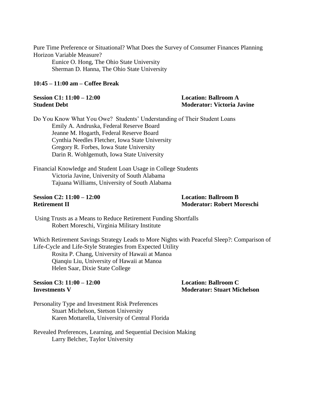Pure Time Preference or Situational? What Does the Survey of Consumer Finances Planning Horizon Variable Measure?

Eunice O. Hong, The Ohio State University Sherman D. Hanna, The Ohio State University

#### **10:45 – 11:00 am – Coffee Break**

### **Session C1: 11:00 – 12:00 Location: Ballroom A**

### **Student Debt Moderator: Victoria Javine**

Do You Know What You Owe? Students' Understanding of Their Student Loans Emily A. Andruska, Federal Reserve Board Jeanne M. Hogarth, Federal Reserve Board Cynthia Needles Fletcher, Iowa State University Gregory R. Forbes, Iowa State University Darin R. Wohlgemuth, Iowa State University

Financial Knowledge and Student Loan Usage in College Students Victoria Javine, University of South Alabama Tajuana Williams, University of South Alabama

### **Session C2: 11:00 – 12:00 Location: Ballroom B**

### **Retirement II Moderator: Robert Moreschi**

Using Trusts as a Means to Reduce Retirement Funding Shortfalls Robert Moreschi, Virginia Military Institute

Which Retirement Savings Strategy Leads to More Nights with Peaceful Sleep?: Comparison of Life-Cycle and Life-Style Strategies from Expected Utility Rosita P. Chang, University of Hawaii at Manoa Qianqiu Liu, University of Hawaii at Manoa Helen Saar, Dixie State College

### **Session C3: 11:00 – 12:00 Location: Ballroom C**

**Investments V Moderator: Stuart Michelson**

Personality Type and Investment Risk Preferences Stuart Michelson, Stetson University Karen Mottarella, University of Central Florida

Revealed Preferences, Learning, and Sequential Decision Making Larry Belcher, Taylor University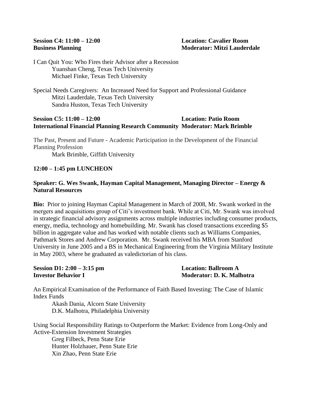**Session C4: 11:00 – 12:00 Location: Cavalier Room Business Planning Moderator: Mitzi Lauderdale**

I Can Quit You: Who Fires their Advisor after a Recession Yuanshan Cheng, Texas Tech University Michael Finke, Texas Tech University

Special Needs Caregivers: An Increased Need for Support and Professional Guidance Mitzi Lauderdale, Texas Tech University Sandra Huston, Texas Tech University

#### **Session C5: 11:00 – 12:00 Location: Patio Room International Financial Planning Research Community Moderator: Mark Brimble**

The Past, Present and Future - Academic Participation in the Development of the Financial Planning Profession

Mark Brimble, Giffith University

#### **12:00 – 1:45 pm LUNCHEON**

#### **Speaker: G. Wes Swank, Hayman Capital Management, Managing Director – Energy & Natural Resources**

**Bio:** Prior to joining Hayman Capital Management in March of 2008, Mr. Swank worked in the mergers and acquisitions group of Citi's investment bank. While at Citi, Mr. Swank was involved in strategic financial advisory assignments across multiple industries including consumer products, energy, media, technology and homebuilding. Mr. Swank has closed transactions exceeding \$5 billion in aggregate value and has worked with notable clients such as Williams Companies, Pathmark Stores and Andrew Corporation. Mr. Swank received his MBA from Stanford University in June 2005 and a BS in Mechanical Engineering from the Virginia Military Institute in May 2003, where he graduated as valedictorian of his class.

**Session D1: 2:00 – 3:15 pm Location: Ballroom A**

**Investor Behavior I I I I I Moderator: D. K. Malhotra** 

An Empirical Examination of the Performance of Faith Based Investing: The Case of Islamic Index Funds

Akash Dania, Alcorn State University D.K. Malhotra, Philadelphia University

Using Social Responsibility Ratings to Outperform the Market: Evidence from Long-Only and Active-Extension Investment Strategies

Greg Filbeck, Penn State Erie Hunter Holzhauer, Penn State Erie Xin Zhao, Penn State Erie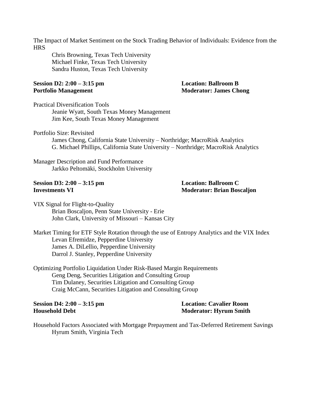The Impact of Market Sentiment on the Stock Trading Behavior of Individuals: Evidence from the **HRS** 

Chris Browning, Texas Tech University Michael Finke, Texas Tech University Sandra Huston, Texas Tech University

### **Session D2: 2:00 – 3:15 pm Location: Ballroom B Portfolio Management** Moderator: James Chong

Practical Diversification Tools Jeanie Wyatt, South Texas Money Management Jim Kee, South Texas Money Management

Portfolio Size: Revisited

James Chong, California State University – Northridge; MacroRisk Analytics G. Michael Phillips, California State University – Northridge; MacroRisk Analytics

Manager Description and Fund Performance Jarkko Peltomäki, Stockholm University

### **Session D3: 2:00 – 3:15 pm Location: Ballroom C**

## **Investments VI Moderator: Brian Boscaljon**

VIX Signal for Flight-to-Quality Brian Boscaljon, Penn State University - Erie John Clark, University of Missouri – Kansas City

Market Timing for ETF Style Rotation through the use of Entropy Analytics and the VIX Index Levan Efremidze, Pepperdine University James A. DiLellio, Pepperdine University Darrol J. Stanley, Pepperdine University

Optimizing Portfolio Liquidation Under Risk-Based Margin Requirements Geng Deng, Securities Litigation and Consulting Group Tim Dulaney, Securities Litigation and Consulting Group Craig McCann, Securities Litigation and Consulting Group

**Session D4: 2:00 – 3:15 pm Location: Cavalier Room Household Debt Moderator: Hyrum Smith**

Household Factors Associated with Mortgage Prepayment and Tax-Deferred Retirement Savings Hyrum Smith, Virginia Tech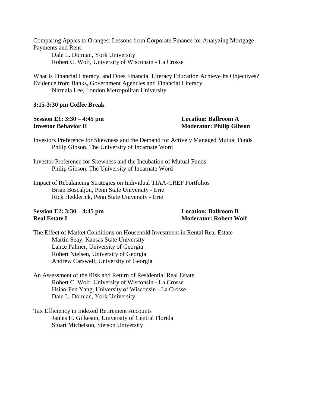Comparing Apples to Oranges: Lessons from Corporate Finance for Analyzing Mortgage Payments and Rent Dale L. Domian, York University Robert C. Wolf, University of Wisconsin - La Crosse

What Is Financial Literacy, and Does Financial Literacy Education Achieve Its Objectives? Evidence from Banks, Government Agencies and Financial Literacy Nirmala Lee, London Metropolitan University

#### **3:15-3:30 pm Coffee Break**

### **Session E1: 3:30 – 4:45 pm Location: Ballroom A Investor Behavior II Moderator: Philip Gibson**

Investors Preference for Skewness and the Demand for Actively Managed Mutual Funds Philip Gibson, The University of Incarnate Word

Investor Preference for Skewness and the Incubation of Mutual Funds Philip Gibson, The University of Incarnate Word

Impact of Rebalancing Strategies on Individual TIAA-CREF Portfolios Brian Boscaljon, Penn State University - Erie Rick Hedderick, Penn State University - Erie

### **Session E2: 3:30 – 4:45 pm Location: Ballroom B Real Estate I Moderator: Robert Wolf**

The Effect of Market Conditions on Household Investment in Rental Real Estate Martin Seay, Kansas State University Lance Palmer, University of Georgia Robert Nielsen, University of Georgia Andrew Carswell, University of Georgia

- An Assessment of the Risk and Return of Residential Real Estate Robert C. Wolf, University of Wisconsin - La Crosse Hsiao-Fen Yang, University of Wisconsin - La Crosse Dale L. Domian, York University
- Tax Efficiency in Indexed Retirement Accounts James H. Gilkeson, University of Central Florida Stuart Michelson, Stetson University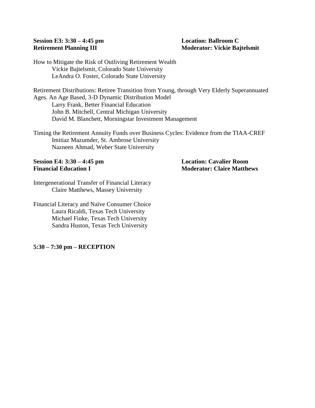# **Session E3: 3:30 – 4:45 pm Location: Ballroom C**

## **Retirement Planning III Moderator: Vickie Bajtelsmit**

How to Mitigate the Risk of Outliving Retirement Wealth Vickie Bajtelsmit, Colorado State University LeAndra O. Foster, Colorado State University

Retirement Distributions: Retiree Transition from Young, through Very Elderly Superannuated Ages. An Age Based, 3-D Dynamic Distribution Model Larry Frank, Better Financial Education John B. Mitchell, Central Michigan University David M. Blanchett, Morningstar Investment Management

Timing the Retirement Annuity Funds over Business Cycles: Evidence from the TIAA-CREF Imitiaz Mazumder, St. Ambrose University Nazneen Ahmad, Weber State University

# **Session E4: 3:30 – 4:45 pm Location: Cavalier Room**

Intergenerational Transfer of Financial Literacy Claire Matthews, Massey University

Financial Literacy and Naïve Consumer Choice Laura Ricaldi, Texas Tech University Michael Finke, Texas Tech University Sandra Huston, Texas Tech University

#### **5:30 – 7:30 pm – RECEPTION**

**Financial Education I Moderator: Claire Matthews**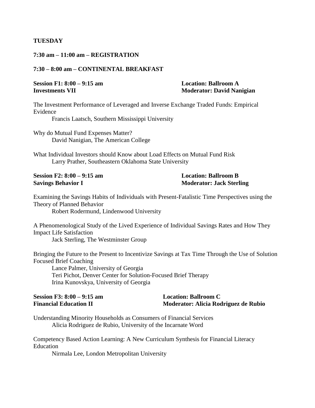#### **TUESDAY**

#### **7:30 am – 11:00 am – REGISTRATION**

#### **7:30 – 8:00 am – CONTINENTAL BREAKFAST**

## **Session F1: 8:00 – 9:15 am Location: Ballroom A**

## **Investments VII Moderator: David Nanigian**

The Investment Performance of Leveraged and Inverse Exchange Traded Funds: Empirical Evidence

Francis Laatsch, Southern Mississippi University

Why do Mutual Fund Expenses Matter? David Nanigian, The American College

What Individual Investors should Know about Load Effects on Mutual Fund Risk Larry Prather, Southeastern Oklahoma State University

#### **Session F2: 8:00 – 9:15 am Location: Ballroom B Savings Behavior I Moderator: Jack Sterling**

Examining the Savings Habits of Individuals with Present-Fatalistic Time Perspectives using the Theory of Planned Behavior

Robert Rodermund, Lindenwood University

A Phenomenological Study of the Lived Experience of Individual Savings Rates and How They Impact Life Satisfaction Jack Sterling, The Westminster Group

Bringing the Future to the Present to Incentivize Savings at Tax Time Through the Use of Solution Focused Brief Coaching

Lance Palmer, University of Georgia Teri Pichot, Denver Center for Solution-Focused Brief Therapy Irina Kunovskya, University of Georgia

| Session F3: $8:00 - 9:15$ am  | <b>Location: Ballroom C</b>          |
|-------------------------------|--------------------------------------|
| <b>Financial Education II</b> | Moderator: Alicia Rodriguez de Rubio |

Understanding Minority Households as Consumers of Financial Services Alicia Rodriguez de Rubio, University of the Incarnate Word

Competency Based Action Learning: A New Curriculum Synthesis for Financial Literacy Education

Nirmala Lee, London Metropolitan University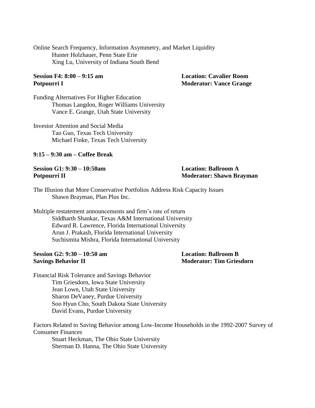Online Search Frequency, Information Asymmetry, and Market Liquidity Hunter Holzhauer, Penn State Erie Xing Lu, University of Indiana South Bend

**Session F4: 8:00 – 9:15 am Location: Cavalier Room Potpourri I Moderator: Vance Grange** 

Funding Alternatives For Higher Education Thomas Langdon, Roger Williams University Vance E. Grange, Utah State University

Investor Attention and Social Media Tao Guo, Texas Tech University Michael Finke, Texas Tech University

### **9:15 – 9:30 am – Coffee Break**

# **Session G1: 9:30 – 10:50am Location: Ballroom A**

### **Potpourri II Moderator: Shawn Brayman**

The Illusion that More Conservative Portfolios Address Risk Capacity Issues Shawn Brayman, Plan Plus Inc.

Multiple restatement announcements and firm's rate of return Siddharth Shankar, Texas A&M International University Edward R. Lawrence, Florida International University Arun J. Prakash, Florida International University Suchismita Mishra, Florida International University

#### **Session G2: 9:30 – 10:50 am Location: Ballroom B Savings Behavior II Moderator: Tim Griesdorn**

Financial Risk Tolerance and Savings Behavior Tim Griesdorn, Iowa State University Jean Lown, Utah State University Sharon DeVaney, Purdue University Soo Hyun Cho, South Dakota State University David Evans, Purdue University

Factors Related to Saving Behavior among Low-Income Households in the 1992-2007 Survey of Consumer Finances Stuart Heckman, The Ohio State University

Sherman D. Hanna, The Ohio State University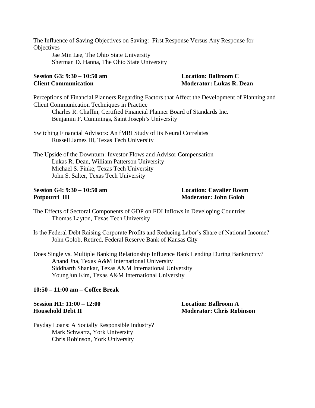The Influence of Saving Objectives on Saving: First Response Versus Any Response for **Objectives** 

Jae Min Lee, The Ohio State University Sherman D. Hanna, The Ohio State University

#### **Session G3: 9:30 – 10:50 am Location: Ballroom C Client Communication Moderator: Lukas R. Dean**

Perceptions of Financial Planners Regarding Factors that Affect the Development of Planning and Client Communication Techniques in Practice

Charles R. Chaffin, Certified Financial Planner Board of Standards Inc. Benjamin F. Cummings, Saint Joseph's University

Switching Financial Advisors: An fMRI Study of Its Neural Correlates Russell James III, Texas Tech University

The Upside of the Downturn: Investor Flows and Advisor Compensation Lukas R. Dean, William Patterson University Michael S. Finke, Texas Tech University John S. Salter, Texas Tech University

### **Session G4: 9:30 – 10:50 am Location: Cavalier Room Potpourri III Moderator: John Golob**

- The Effects of Sectoral Components of GDP on FDI Inflows in Developing Countries Thomas Layton, Texas Tech University
- Is the Federal Debt Raising Corporate Profits and Reducing Labor's Share of National Income? John Golob, Retired, Federal Reserve Bank of Kansas City

Does Single vs. Multiple Banking Relationship Influence Bank Lending During Bankruptcy? Anand Jha, Texas A&M International University Siddharth Shankar, Texas A&M International University YoungJun Kim, Texas A&M International University

#### **10:50 – 11:00 am – Coffee Break**

## **Session H1: 11:00 – 12:00 Location: Ballroom A**

**Household Debt II Moderator: Chris Robinson**

Payday Loans: A Socially Responsible Industry? Mark Schwartz, York University Chris Robinson, York University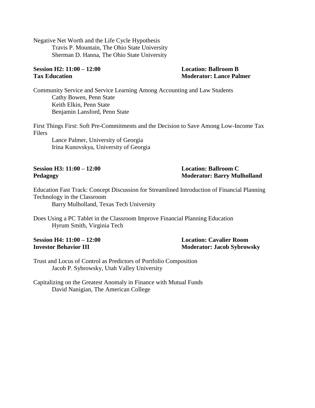Negative Net Worth and the Life Cycle Hypothesis Travis P. Mountain, The Ohio State University Sherman D. Hanna, The Ohio State University

## **Session H2: 11:00 – 12:00 Location: Ballroom B**

# **Tax Education Moderator: Lance Palmer**

Community Service and Service Learning Among Accounting and Law Students Cathy Bowen, Penn State Keith Elkin, Penn State Benjamin Lansford, Penn State

First Things First: Soft Pre-Commitments and the Decision to Save Among Low-Income Tax Filers

Lance Palmer, University of Georgia Irina Kunovskya, University of Georgia

# **Session H3: 11:00 – 12:00 Location: Ballroom C**

## **Pedagogy Moderator: Barry Mulholland**

Education Fast Track: Concept Discussion for Streamlined Introduction of Financial Planning Technology in the Classroom Barry Mulholland, Texas Tech University

Does Using a PC Tablet in the Classroom Improve Financial Planning Education Hyrum Smith, Virginia Tech

**Session H4: 11:00 – 12:00 Location: Cavalier Room Investor Behavior III Moderator: Jacob Sybrowsky** 

Trust and Locus of Control as Predictors of Portfolio Composition Jacob P. Sybrowsky, Utah Valley University

Capitalizing on the Greatest Anomaly in Finance with Mutual Funds David Nanigian, The American College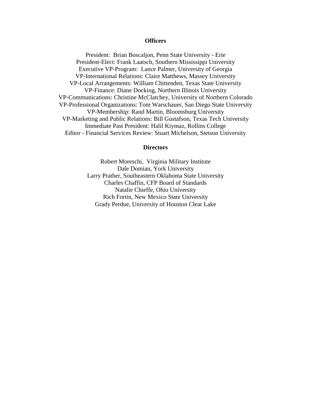#### **Officers**

President: Brian Boscaljon, Penn State University - Erie President-Elect: Frank Laatsch, Southern Mississippi University Executive VP-Program: Lance Palmer, University of Georgia VP-International Relations: Claire Matthews, Massey University VP-Local Arrangements: William Chittenden, Texas State University VP-Finance: Diane Docking, Northern Illinois University VP-Communications: Christine McClatchey, University of Northern Colorado VP-Professional Organizations: Tom Warschauer, San Diego State University VP-Membership: Rand Martin, Bloomsburg University VP-Marketing and Public Relations: Bill Gustafson, Texas Tech University Immediate Past President: Halil Kiymaz, Rollins College Editor - Financial Services Review: Stuart Michelson, Stetson University

#### **Directors**

Robert Moreschi, Virginia Military Institute Dale Domian, York University Larry Prather, Southeastern Oklahoma State University Charles Chaffin, CFP Board of Standards Natalie Chieffe, Ohio University Rich Fortin, New Mexico State University Grady Perdue, University of Houston Clear Lake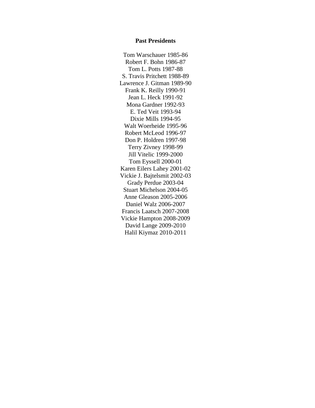#### **Past Presidents**

Tom Warschauer 1985-86 Robert F. Bohn 1986-87 Tom L. Potts 1987-88 S. Travis Pritchett 1988-89 Lawrence J. Gitman 1989-90 Frank K. Reilly 1990-91 Jean L. Heck 1991-92 Mona Gardner 1992-93 E. Ted Veit 1993-94 Dixie Mills 1994-95 Walt Woerheide 1995-96 Robert McLeod 1996-97 Don P. Holdren 1997-98 Terry Zivney 1998-99 Jill Vitelic 1999-2000 Tom Eyssell 2000-01 Karen Eilers Lahey 2001-02 Vickie J. Bajtelsmit 2002-03 Grady Perdue 2003-04 Stuart Michelson 2004-05 Anne Gleason 2005-2006 Daniel Walz 2006-2007 Francis Laatsch 2007-2008 Vickie Hampton 2008-2009 David Lange 2009-2010 Halil Kiymaz 2010-2011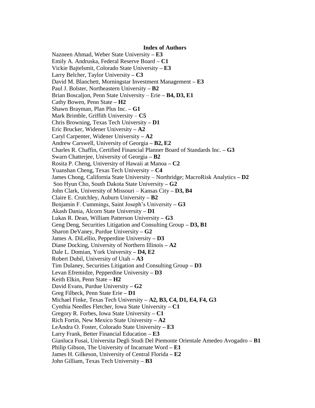**Index of Authors** Nazneen Ahmad, Weber State University **– E3** Emily A. Andruska, Federal Reserve Board **– C1** Vickie Bajtelsmit, Colorado State University **– E3** Larry Belcher, Taylor University **– C3** David M. Blanchett, Morningstar Investment Management **– E3** Paul J. Bolster, Northeastern University **– B2** Brian Boscaljon, Penn State University – Erie **– B4, D3, E1** Cathy Bowen, Penn State **– H2** Shawn Brayman, Plan Plus Inc. **– G1** Mark Brimble, Griffith University – **C5** Chris Browning, Texas Tech University **– D1** Eric Brucker, Widener University **– A2** Caryl Carpenter, Widener University **– A2** Andrew Carswell, University of Georgia **– B2, E2** Charles R. Chaffin, Certified Financial Planner Board of Standards Inc. **– G3** Swarn Chatterjee, University of Georgia **– B2** Rosita P. Cheng, University of Hawaii at Manoa **– C2** Yuanshan Cheng, Texas Tech University **– C4** James Chong, California State University – Northridge; MacroRisk Analytics **– D2** Soo Hyun Cho, South Dakota State University **– G2** John Clark, University of Missouri – Kansas City **– D3, B4** Claire E. Crutchley, Auburn University **– B2** Benjamin F. Cummings, Saint Joseph's University **– G3** Akash Dania, Alcorn State University **– D1** Lukas R. Dean, William Patterson University **– G3** Geng Deng, Securities Litigation and Consulting Group **– D3, B1** Sharon DeVaney, Purdue University **– G2** James A. DiLellio, Pepperdine University **– D3** Diane Docking, University of Northern Illinois **– A2** Dale L. Domian, York University **– D4, E2** Robert Dubil, University of Utah **– A3** Tim Dulaney, Securities Litigation and Consulting Group **– D3** Levan Efremidze, Pepperdine University **– D3** Keith Elkin, Penn State **– H2** David Evans, Purdue University **– G2** Greg Filbeck, Penn State Erie **– D1** Michael Finke, Texas Tech University **– A2, B3, C4, D1, E4, F4, G3**  Cynthia Needles Fletcher, Iowa State University **– C1** Gregory R. Forbes, Iowa State University **– C1** Rich Fortin, New Mexico State University **– A2** LeAndra O. Foster, Colorado State University **– E3** Larry Frank, Better Financial Education **– E3** Gianluca Fusai, Universita Degli Studi Del Piemonte Orientale Amedeo Avogadro **– B1** Philip Gibson, The University of Incarnate Word **– E1** James H. Gilkeson, University of Central Florida **– E2** John Gilliam, Texas Tech University **– B3**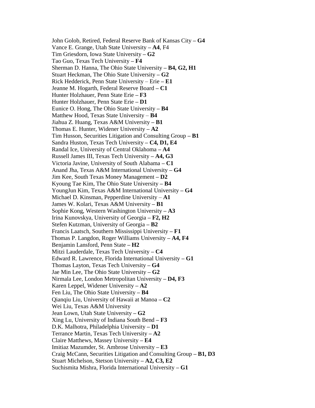John Golob, Retired, Federal Reserve Bank of Kansas City **– G4** Vance E. Grange, Utah State University **– A4**, F4 Tim Griesdorn, Iowa State University **– G2** Tao Guo, Texas Tech University **– F4** Sherman D. Hanna, The Ohio State University **– B4, G2, H1** Stuart Heckman, The Ohio State University **– G2** Rick Hedderick, Penn State University – Erie **– E1** Jeanne M. Hogarth, Federal Reserve Board **– C1** Hunter Holzhauer, Penn State Erie **– F3** Hunter Holzhauer, Penn State Erie **– D1** Eunice O. Hong, The Ohio State University **– B4** Matthew Hood, Texas State University – **B4** Jiahua Z. Huang, Texas A&M University **– B1** Thomas E. Hunter, Widener University **– A2** Tim Husson, Securities Litigation and Consulting Group **– B1** Sandra Huston, Texas Tech University **– C4, D1, E4** Randal Ice, University of Central Oklahoma **– A4** Russell James III, Texas Tech University **– A4, G3** Victoria Javine, University of South Alabama **– C1** Anand Jha, Texas A&M International University **– G4** Jim Kee, South Texas Money Management **– D2** Kyoung Tae Kim, The Ohio State University **– B4** YoungJun Kim, Texas A&M International University **– G4** Michael D. Kinsman, Pepperdine University – **A1** James W. Kolari, Texas A&M University **– B1** Sophie Kong, Western Washington University **– A3** Irina Kunovskya, University of Georgia **– F2, H2** Stefen Kutzman, University of Georgia **– B2** Francis Laatsch, Southern Mississippi University **– F1** Thomas P. Langdon, Roger Williams University **– A4, F4** Benjamin Lansford, Penn State **– H2** Mitzi Lauderdale, Texas Tech University **– C4** Edward R. Lawrence, Florida International University **– G1** Thomas Layton, Texas Tech University **– G4** Jae Min Lee, The Ohio State University **– G2** Nirmala Lee, London Metropolitan University **– D4, F3** Karen Leppel, Widener University **– A2** Fen Liu, The Ohio State University **– B4** Qianqiu Liu, University of Hawaii at Manoa **– C2** Wei Liu, Texas A&M University Jean Lown, Utah State University **– G2** Xing Lu, University of Indiana South Bend **– F3** D.K. Malhotra, Philadelphia University **– D1** Terrance Martin, Texas Tech University **– A2** Claire Matthews, Massey University **– E4** Imitiaz Mazumder, St. Ambrose University **– E3** Craig McCann, Securities Litigation and Consulting Group **– B1, D3** Stuart Michelson, Stetson University **– A2, C3, E2** Suchismita Mishra, Florida International University **– G1**